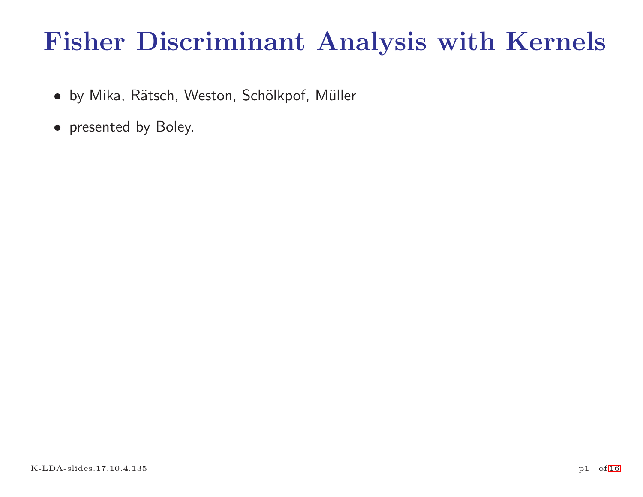# Fisher Discriminant Analysis with Kernels

- by Mika, Rätsch, Weston, Schölkpof, Müller
- <span id="page-0-0"></span>• presented by Boley.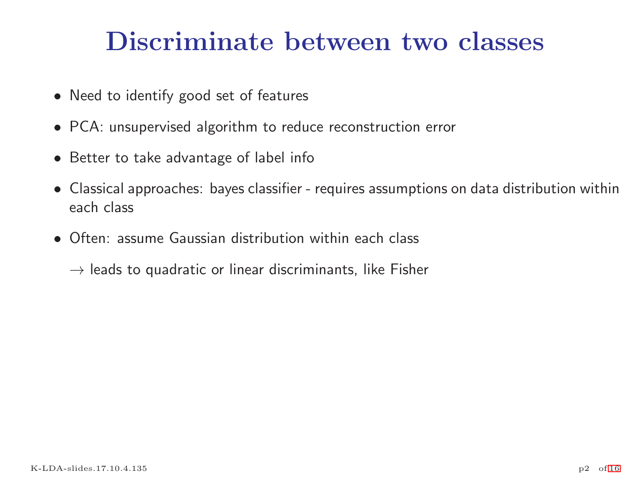# Discriminate between two classes

- Need to identify good set of features
- PCA: unsupervised algorithm to reduce reconstruction error
- Better to take advantage of label info
- Classical approaches: bayes classifier requires assumptions on data distribution within each class
- Often: assume Gaussian distribution within each class

 $\rightarrow$  leads to quadratic or linear discriminants, like Fisher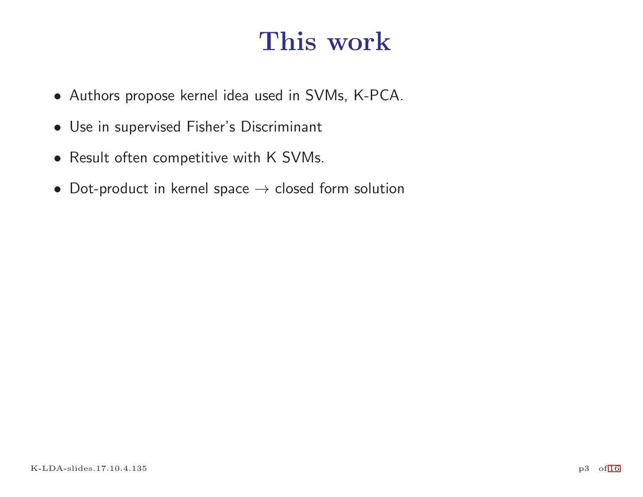# This work

- Authors propose kernel idea used in SVMs, K-PCA.
- Use in supervised Fisher's Discriminant
- Result often competitive with K SVMs.
- Dot-product in kernel space  $\rightarrow$  closed form solution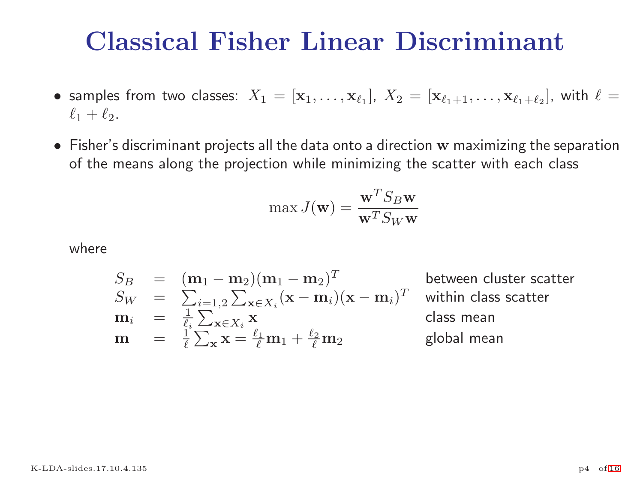# Classical Fisher Linear Discriminant

- $\bullet$  samples from two classes:  $X_1=[{\bf x}_1,\ldots,{\bf x}_{\ell_1}],~X_2=[{\bf x}_{\ell_1+1},\ldots,{\bf x}_{\ell_1+\ell_2}],$  with  $\ell=1$  $\ell_1+\ell_2$ .
- $\bullet$  Fisher's discriminant projects all the data onto a direction w maximizing the separation of the means along the projection while minimizing the scatter with each class

$$
\max J(\mathbf{w}) = \frac{\mathbf{w}^T S_B \mathbf{w}}{\mathbf{w}^T S_W \mathbf{w}}
$$

where

$$
S_B = (\mathbf{m}_1 - \mathbf{m}_2)(\mathbf{m}_1 - \mathbf{m}_2)^T
$$
 between cluster scatter  
\n
$$
S_W = \sum_{i=1,2}^{i=1,2} \sum_{\mathbf{x} \in X_i} (\mathbf{x} - \mathbf{m}_i)(\mathbf{x} - \mathbf{m}_i)^T
$$
 within class scatter  
\n
$$
\mathbf{m}_i = \frac{1}{\ell_i} \sum_{\mathbf{x} \in X_i} \mathbf{x}
$$
 class mean  
\n
$$
\mathbf{m} = \frac{1}{\ell} \sum_{\mathbf{x}} \mathbf{x} = \frac{\ell_1}{\ell} \mathbf{m}_1 + \frac{\ell_2}{\ell} \mathbf{m}_2
$$
 global mean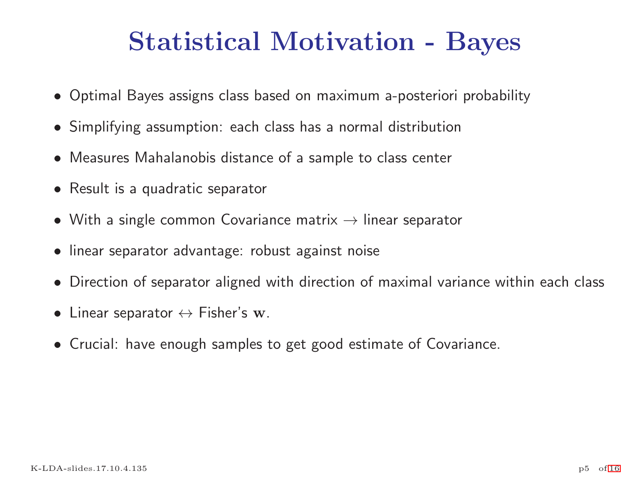# Statistical Motivation - Bayes

- Optimal Bayes assigns class based on maximum a-posteriori probability
- Simplifying assumption: each class has a normal distribution
- Measures Mahalanobis distance of <sup>a</sup> sample to class center
- Result is a quadratic separator
- With a single common Covariance matrix  $\rightarrow$  linear separator
- linear separator advantage: robust against noise
- Direction of separator aligned with direction of maximal variance within each class
- $\bullet$  Linear separator  $\leftrightarrow$  Fisher's w.
- Crucial: have enough samples to get good estimate of Covariance.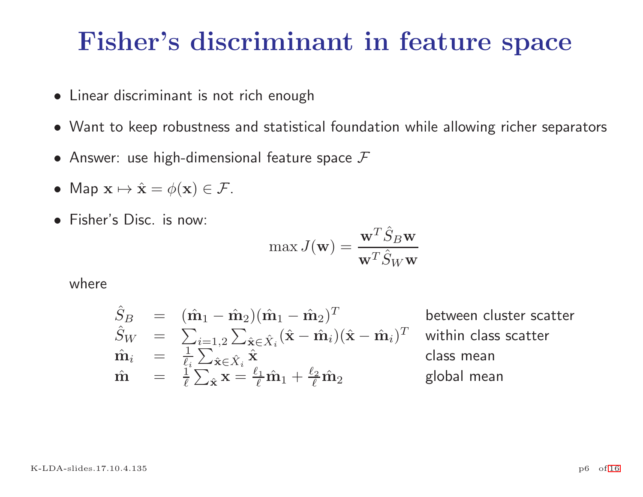## Fisher's discriminant in feature space

- Linear discriminant is not rich enough
- Want to keep robustness and statistical foundation while allowing richer separators
- $\bullet$  Answer: use high-dimensional feature space  ${\cal F}$
- Map  $\mathbf{x} \mapsto \hat{\mathbf{x}} = \phi(\mathbf{x}) \in \mathcal{F}$ .
- Fisher's Disc. is now:

$$
\max J(\mathbf{w}) = \frac{\mathbf{w}^T \hat{S}_B \mathbf{w}}{\mathbf{w}^T \hat{S}_W \mathbf{w}}
$$

where

$$
\hat{S}_B = (\hat{\mathbf{m}}_1 - \hat{\mathbf{m}}_2)(\hat{\mathbf{m}}_1 - \hat{\mathbf{m}}_2)^T
$$
 between cluster scatter  
\n
$$
\hat{S}_W = \sum_{i=1,2} \sum_{\hat{\mathbf{x}} \in \hat{X}_i} (\hat{\mathbf{x}} - \hat{\mathbf{m}}_i)(\hat{\mathbf{x}} - \hat{\mathbf{m}}_i)^T
$$
 within class scatter  
\n
$$
\hat{\mathbf{m}}_i = \frac{1}{\ell_i} \sum_{\hat{\mathbf{x}} \in \hat{X}_i} \hat{\mathbf{x}} \hat{\mathbf{x}}
$$
class mean  
\n
$$
\hat{\mathbf{m}} = \frac{1}{\ell} \sum_{\hat{\mathbf{x}} \in \hat{X}} \mathbf{x} = \frac{\ell_1}{\ell} \hat{\mathbf{m}}_1 + \frac{\ell_2}{\ell} \hat{\mathbf{m}}_2
$$
global mean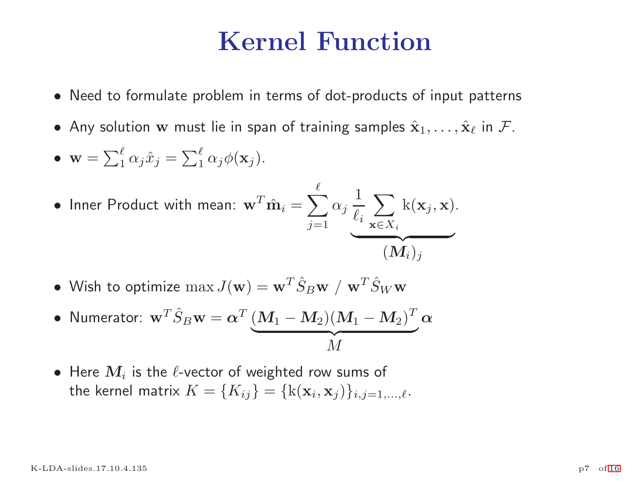## Kernel Function

- Need to formulate problem in terms of dot-products of input patterns
- Any solution w must lie in span of training samples  $\hat{\mathbf{x}}_1, \ldots, \hat{\mathbf{x}}_\ell$  in  $\mathcal{F}$ .

• 
$$
\mathbf{w} = \sum_{1}^{\ell} \alpha_j \hat{x}_j = \sum_{1}^{\ell} \alpha_j \phi(\mathbf{x}_j).
$$

• Inner Product with mean: 
$$
\mathbf{w}^T \hat{\mathbf{m}}_i = \sum_{j=1}^{\ell} \alpha_j \frac{1}{\ell_i} \sum_{\mathbf{x} \in X_i} \mathbf{k}(\mathbf{x}_j, \mathbf{x}).
$$
  

$$
(M_i)_j
$$

• Wish to optimize  $\max J(\mathbf{w}) = \mathbf{w}^T \hat{S}_B \mathbf{w} / \mathbf{w}^T \hat{S}_W \mathbf{w}$ 

• **Numerator:** 
$$
\mathbf{w}^T \hat{S}_B \mathbf{w} = \alpha^T \underbrace{(M_1 - M_2)(M_1 - M_2)^T}_{M} \alpha
$$

• Here  $M_i$  is the  $\ell$ -vector of weighted row sums of the kernel matrix  $K = \{K_{ij}\} = \{k(\mathbf{x}_i, \mathbf{x}_j)\}_{i,j=1,\ldots,\ell}$ .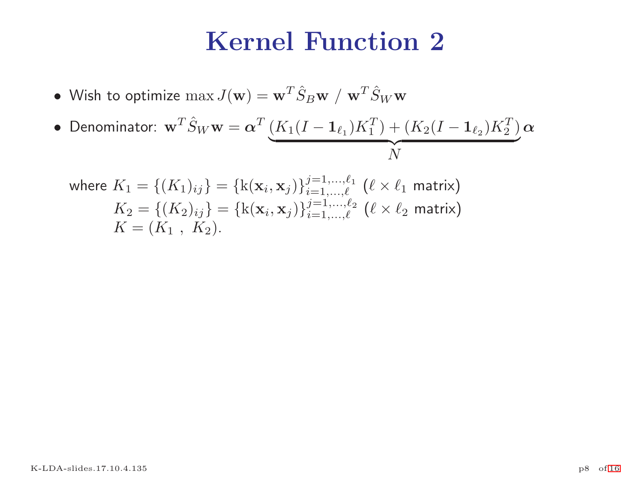## Kernel Function 2

• Wish to optimize  $\max J(\mathbf{w}) = \mathbf{w}^T \hat{S}_B \mathbf{w} / \mathbf{w}^T \hat{S}_W \mathbf{w}$ 

• Denominator: 
$$
\mathbf{w}^T \hat{S}_W \mathbf{w} = \alpha^T \underbrace{(K_1(I - \mathbf{1}_{\ell_1}) K_1^T) + (K_2(I - \mathbf{1}_{\ell_2}) K_2^T)}_{N} \alpha
$$

where 
$$
K_1 = \{(K_1)_{ij}\} = \{\mathbf{k}(\mathbf{x}_i, \mathbf{x}_j)\}_{i=1,\dots,\ell}^{j=1,\dots,\ell}
$$
  $(\ell \times \ell_1 \text{ matrix})$   
\n $K_2 = \{(K_2)_{ij}\} = \{\mathbf{k}(\mathbf{x}_i, \mathbf{x}_j)\}_{i=1,\dots,\ell}^{j=1,\dots,\ell_2}$   $(\ell \times \ell_2 \text{ matrix})$   
\n $K = (K_1, K_2).$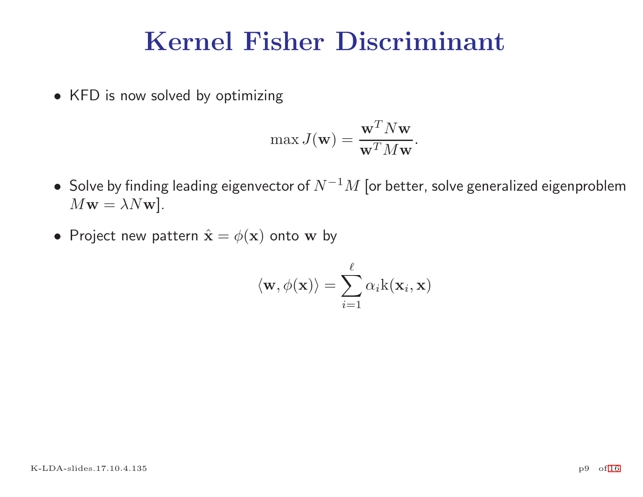# Kernel Fisher Discriminant

• KFD is now solved by optimizing

$$
\max J(\mathbf{w}) = \frac{\mathbf{w}^T N \mathbf{w}}{\mathbf{w}^T M \mathbf{w}}.
$$

- $\bullet \,$  Solve by finding leading eigenvector of  $N^{-1}M$  [or better, solve generalized eigenproblem  $M$ **w** =  $\lambda N$ **w**].
- Project new pattern  $\hat{\mathbf{x}} = \phi(\mathbf{x})$  onto  $\mathbf{w}$  by

$$
\langle \mathbf{w}, \phi(\mathbf{x}) \rangle = \sum_{i=1}^{\ell} \alpha_i \mathrm{k}(\mathbf{x}_i, \mathbf{x})
$$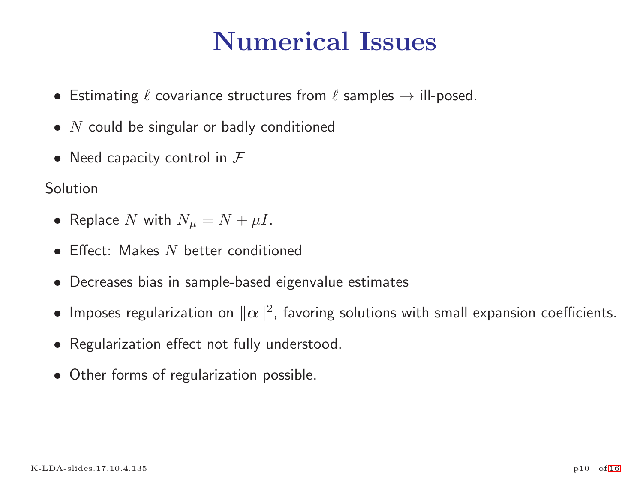# Numerical Issues

- Estimating  $\ell$  covariance structures from  $\ell$  samples  $\rightarrow$  ill-posed.
- $N$  could be singular or badly conditioned
- Need capacity control in  $\mathcal F$

#### **Solution**

- Replace N with  $N_{\mu} = N + \mu I$ .
- Effect: Makes  $N$  better conditioned
- Decreases bias in sample-based eigenvalue estimates
- Imposes regularization on  $\|\alpha\|^2$ , favoring solutions with small expansion coefficients.
- Regularization effect not fully understood.
- Other forms of regularization possible.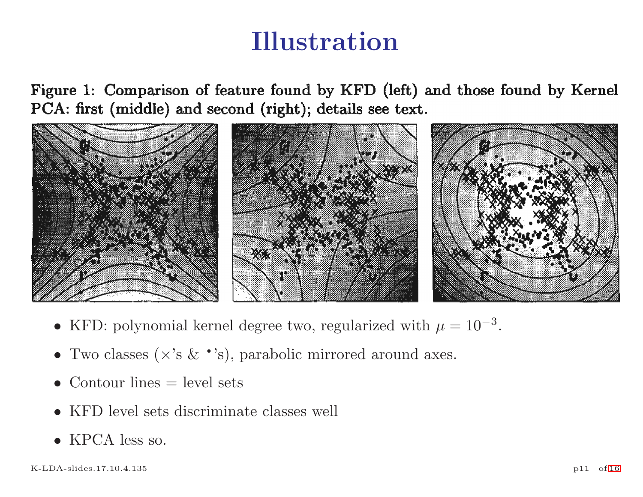# Illustration

Figure 1: Comparison of feature found by KFD (left) and those found by Kernel PCA: first (middle) and second (right); details see text.



- KFD: polynomial kernel degree two, regularized with  $\mu = 10^{-3}$ .
- Two classes  $(\times \text{'s} \& \cdot \text{'s})$ , parabolic mirrored around axes.
- Contour lines  $=$  level sets
- KFD level sets discriminate classes well
- KPCA less so.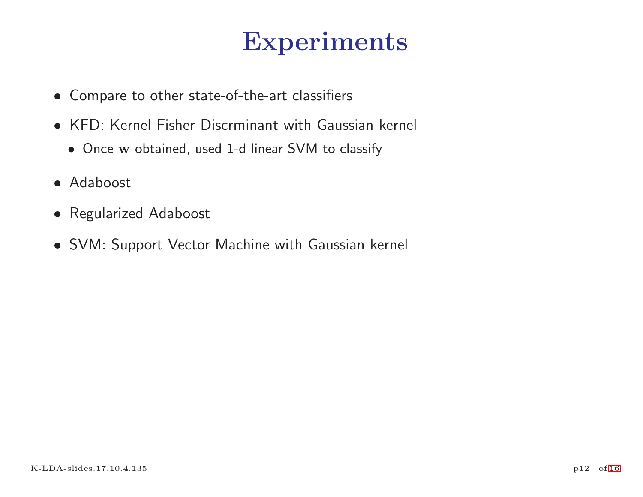# Experiments

- Compare to other state-of-the-art classifiers
- KFD: Kernel Fisher Discrminant with Gaussian kernel
	- Once w obtained, used 1-d linear SVM to classify
- Adaboost
- Regularized Adaboost
- SVM: Support Vector Machine with Gaussian kernel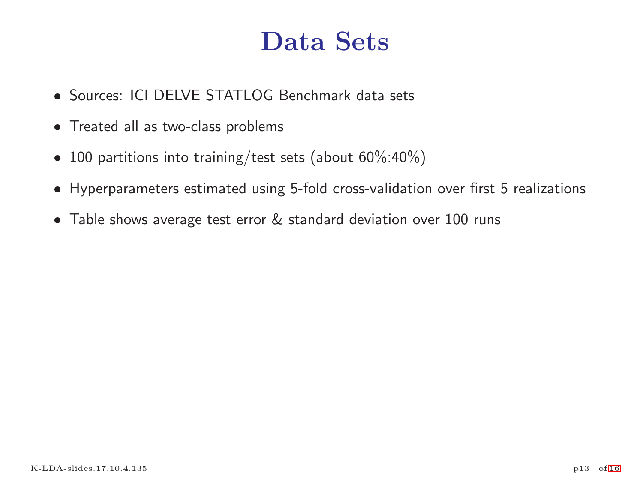## Data Sets

- Sources: ICI DELVE STATLOG Benchmark data sets
- Treated all as two-class problems
- 100 partitions into training/test sets (about 60%:40%)
- Hyperparameters estimated using 5-fold cross-validation over first 5 realizations
- Table shows average test error & standard deviation over 100 runs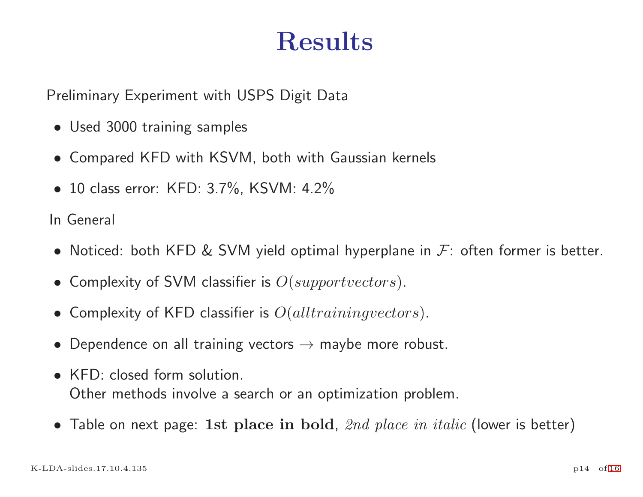# Results

Preliminary Experiment with USPS Digit Data

- Used 3000 training samples
- Compared KFD with KSVM, both with Gaussian kernels
- 10 class error: KFD: 3.7%, KSVM: 4.2%

In General

- Noticed: both KFD & SVM yield optimal hyperplane in  $\mathcal{F}$ : often former is better.
- Complexity of SVM classifier is  $O(supportvectors)$ .
- Complexity of KFD classifier is  $O(all training vectors)$ .
- Dependence on all training vectors  $\rightarrow$  maybe more robust.
- KFD: closed form solution Other methods involve <sup>a</sup> search or an optimization problem.
- Table on next page: 1st place in bold,  $2nd$  place in italic (lower is better)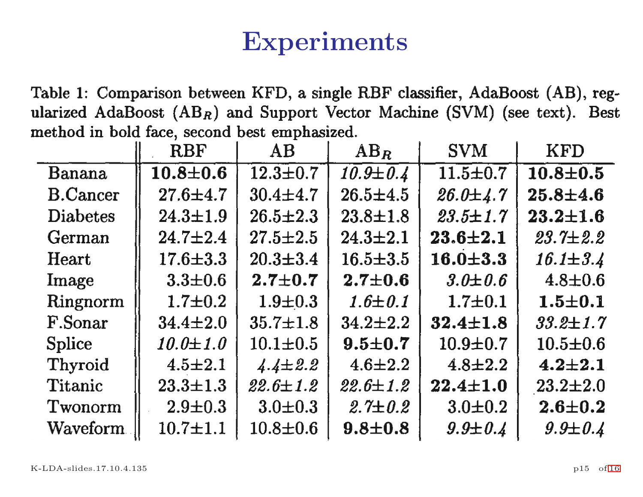# Experiments

Table 1: Comparison between KFD, a single RBF classifier, AdaBoost (AB), regularized AdaBoost  $(AB_R)$  and Support Vector Machine (SVM) (see text). Best method in bold face, second best emphasized.

|                 | <b>RBF</b>     | AB             | $AB_R$         | <b>SVM</b>     | <b>KFD</b>     |
|-----------------|----------------|----------------|----------------|----------------|----------------|
| Banana          | $10.8 + 0.6$   | $12.3 \pm 0.7$ | $10.9 \pm 0.4$ | $11.5 \pm 0.7$ | $10.8 \pm 0.5$ |
| <b>B.Cancer</b> | $27.6 + 4.7$   | $30.4 \pm 4.7$ | $26.5 \pm 4.5$ | $26.0 \pm 4.7$ | $25.8 \pm 4.6$ |
| <b>Diabetes</b> | $24.3 \pm 1.9$ | $26.5 \pm 2.3$ | $23.8 \pm 1.8$ | $23.5 \pm 1.7$ | $23.2 \pm 1.6$ |
| German          | $24.7 \pm 2.4$ | $27.5 \pm 2.5$ | $24.3 \pm 2.1$ | $23.6 + 2.1$   | $23.7 \pm 2.2$ |
| Heart           | $17.6 \pm 3.3$ | $20.3 \pm 3.4$ | $16.5 \pm 3.5$ | $16.0 \pm 3.3$ | $16.1 \pm 3.4$ |
| Image           | $3.3 \pm 0.6$  | $2.7 + 0.7$    | $2.7 \pm 0.6$  | $3.0 \pm 0.6$  | $4.8 \pm 0.6$  |
| Ringnorm        | $1.7 \pm 0.2$  | $1.9 \pm 0.3$  | $1.6 \pm 0.1$  | $1.7 \pm 0.1$  | $1.5 \pm 0.1$  |
| F.Sonar         | $34.4 \pm 2.0$ | $35.7 \pm 1.8$ | $34.2 \pm 2.2$ | $32.4 \pm 1.8$ | $33.2 \pm 1.7$ |
| <b>Splice</b>   | $10.0 \pm 1.0$ | $10.1 \pm 0.5$ | $9.5 + 0.7$    | $10.9 + 0.7$   | $10.5 \pm 0.6$ |
| <b>Thyroid</b>  | $4.5 \pm 2.1$  | $4.4 \pm 2.2$  | $4.6 \pm 2.2$  | $4.8 \pm 2.2$  | $4.2 \pm 2.1$  |
| Titanic         | $23.3 \pm 1.3$ | $22.6 \pm 1.2$ | $22.6 \pm 1.2$ | $22.4 \pm 1.0$ | $23.2 \pm 2.0$ |
| Twonorm         | $2.9 \pm 0.3$  | $3.0 \pm 0.3$  | $2.7 \pm 0.2$  | $3.0 + 0.2$    | $2.6 \pm 0.2$  |
| Waveform        | $10.7 + 1.1$   | $10.8 \pm 0.6$ | $9.8 + 0.8$    | $9.9 \pm 0.4$  | $9.9 \pm 0.4$  |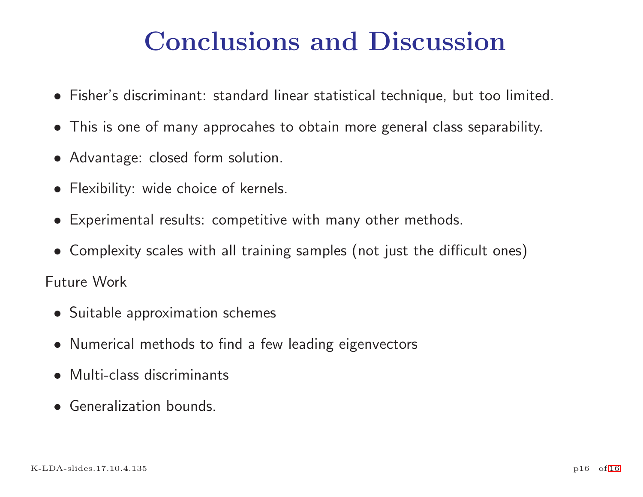# Conclusions and Discussion

- Fisher's discriminant: standard linear statistical technique, but too limited.
- This is one of many approcahes to obtain more general class separability.
- Advantage: closed form solution.
- Flexibility: wide choice of kernels.
- Experimental results: competitive with many other methods.
- Complexity scales with all training samples (not just the difficult ones)

Future Work

- Suitable approximation schemes
- Numerical methods to find <sup>a</sup> few leading eigenvectors
- Multi-class discriminants
- Generalization bounds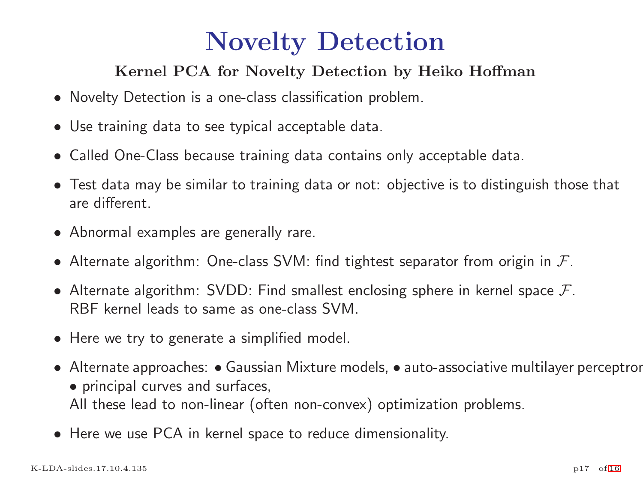# Novelty Detection

#### Kernel PCA for Novelty Detection by Heiko Hoffman

- Novelty Detection is <sup>a</sup> one-class classification problem.
- Use training data to see typical acceptable data.
- Called One-Class because training data contains only acceptable data.
- Test data may be similar to training data or not: objective is to distinguish those that are different.
- Abnormal examples are generally rare.
- Alternate algorithm: One-class SVM: find tightest separator from origin in  $\mathcal{F}.$
- Alternate algorithm: SVDD: Find smallest enclosing sphere in kernel space  $\mathcal{F}$ . RBF kernel leads to same as one-class SVM.
- Here we try to generate <sup>a</sup> simplified model.
- Alternate approaches: Gaussian Mixture models, auto-associative multilayer perceptror • principal curves and surfaces, All these lead to non-linear (often non-convex) optimization problems.
- Here we use PCA in kernel space to reduce dimensionality.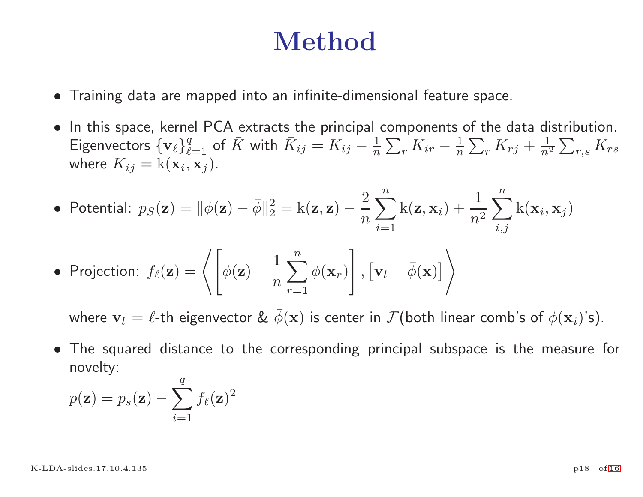# Method

- Training data are mapped into an infinite-dimensional feature space.
- In this space, kernel PCA extracts the principal components of the data distribution. Eigenvectors  $\{v_\ell\}_{\ell=1}^q$  of  $\bar{K}$  with  $\bar{K}_{ij} = K_{ij} - \frac{1}{n} \sum_r K_{ir} - \frac{1}{n} \sum_r K_{rj} + \frac{1}{n^2} \sum_{r,s} K_{rs}$ where  $K_{ij} = k(\mathbf{x}_i, \mathbf{x}_j)$ .

• Potential: 
$$
p_S(\mathbf{z}) = ||\phi(\mathbf{z}) - \overline{\phi}||_2^2 = k(\mathbf{z}, \mathbf{z}) - \frac{2}{n} \sum_{i=1}^n k(\mathbf{z}, \mathbf{x}_i) + \frac{1}{n^2} \sum_{i,j}^n k(\mathbf{x}_i, \mathbf{x}_j)
$$

• Projection: 
$$
f_{\ell}(\mathbf{z}) = \left\langle \left[ \phi(\mathbf{z}) - \frac{1}{n} \sum_{r=1}^{n} \phi(\mathbf{x}_r) \right], \left[ \mathbf{v}_l - \overline{\phi}(\mathbf{x}) \right] \right\rangle
$$

where  $\mathbf{v}_l = \ell$ -th eigenvector &  $\bar{\phi}(\mathbf{x})$  is center in  $\mathcal{F}$ (both linear comb's of  $\phi(\mathbf{x}_i)$ 's).

• The squared distance to the corresponding principal subspace is the measure for novelty:  $\alpha$ 

novetry:  

$$
p(\mathbf{z}) = p_s(\mathbf{z}) - \sum_{i=1}^{q} f_{\ell}(\mathbf{z})^2
$$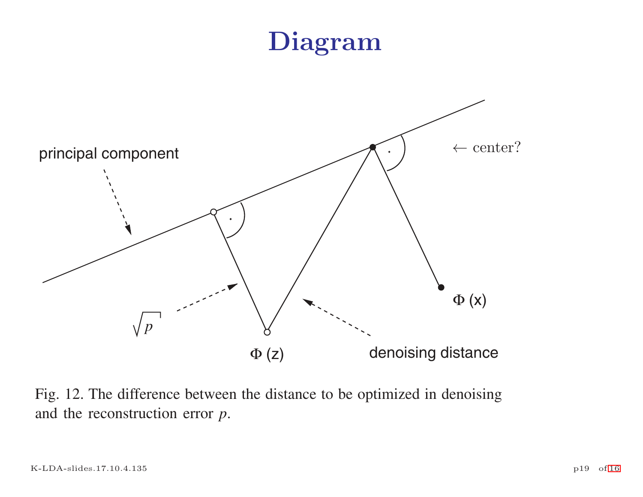# Diagram



Fig. 12. The difference between the distance to be optimized in denoising and the reconstruction error *p*.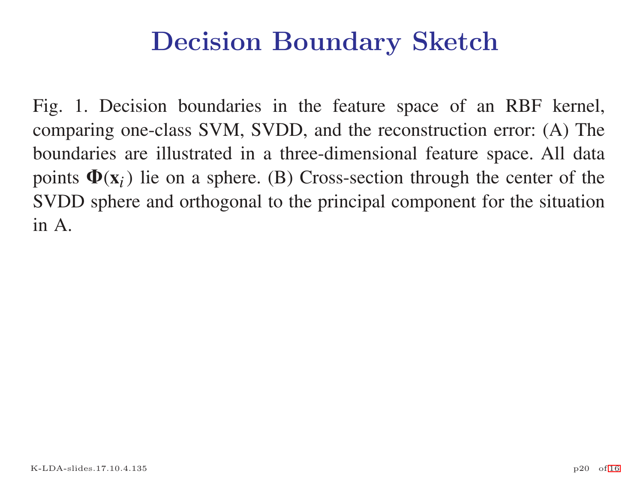# Decision Boundary Sketch

Fig. 1. Decision boundaries in the feature space of an RBF kernel, comparing one-class SVM, SVDD, and the reconstruction error: (A) The boundaries are illustrated in <sup>a</sup> three-dimensional feature space. All data points  $\Phi(\mathbf{x}_i)$  lie on a sphere. (B) Cross-section through the center of the SVDD sphere and orthogonal to the principal componen<sup>t</sup> for the situation in A.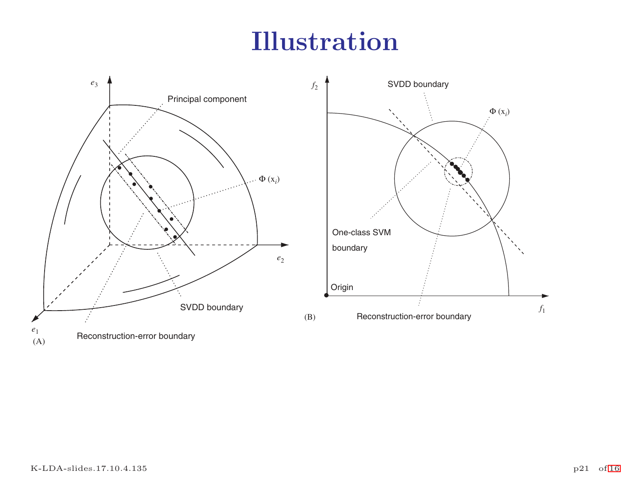# Illustration



 $\begin{bmatrix} c_1 \\ (A) \end{bmatrix}$  Reconstruction-error boundary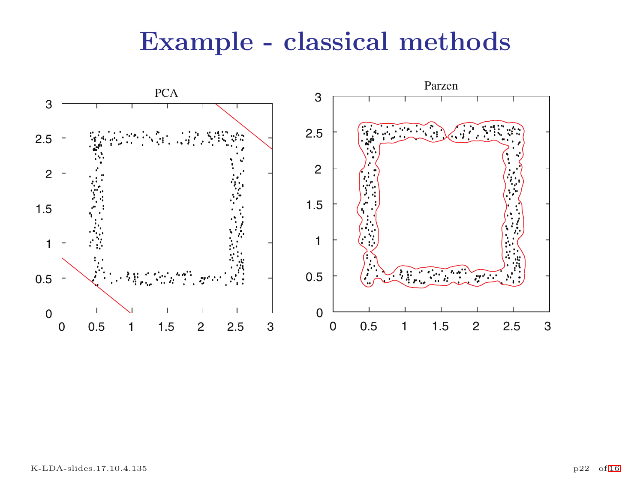# Example - classical methods

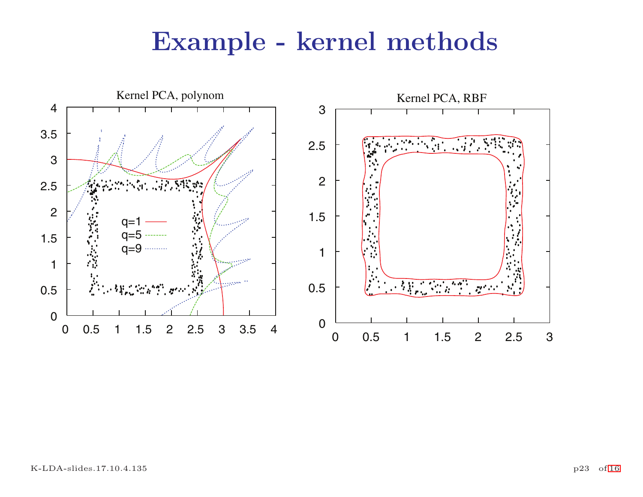## Example - kernel methods

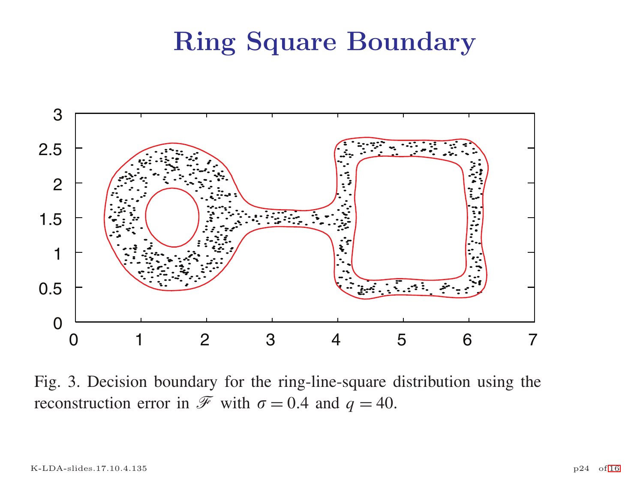## Ring Square Boundary



Fig. 3. Decision boundary for the ring-line-square distribution using the reconstruction error in  $\overline{\mathcal{F}}$  with  $\sigma = 0.4$  and  $q = 40$ .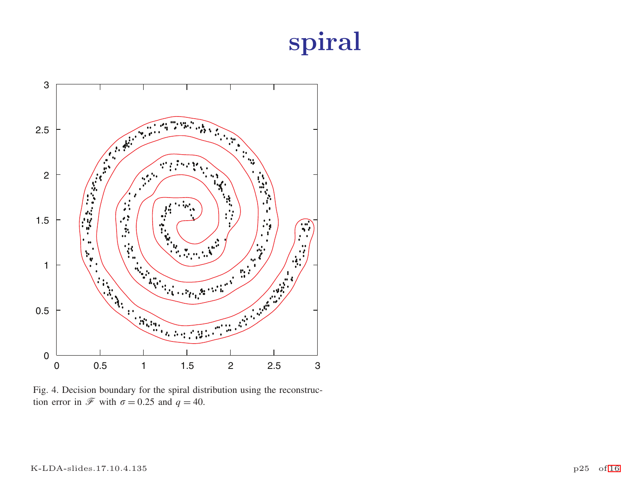# spiral



Fig. 4. Decision boundary for the spiral distribution using the reconstruction error in  $\mathcal{F}$  with  $\sigma = 0.25$  and  $q = 40$ .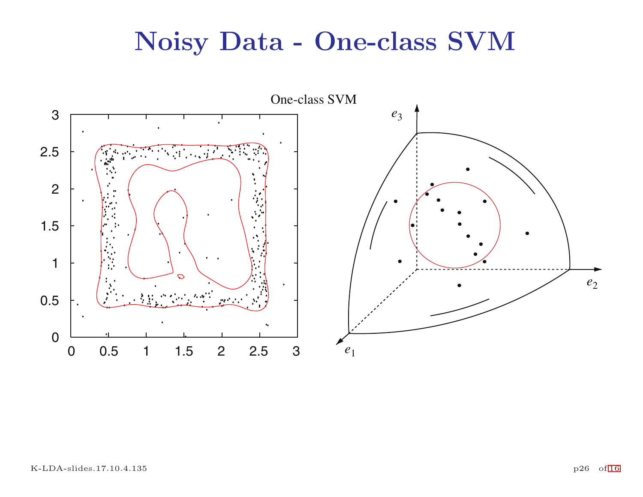# Noisy Data - One-class SVM

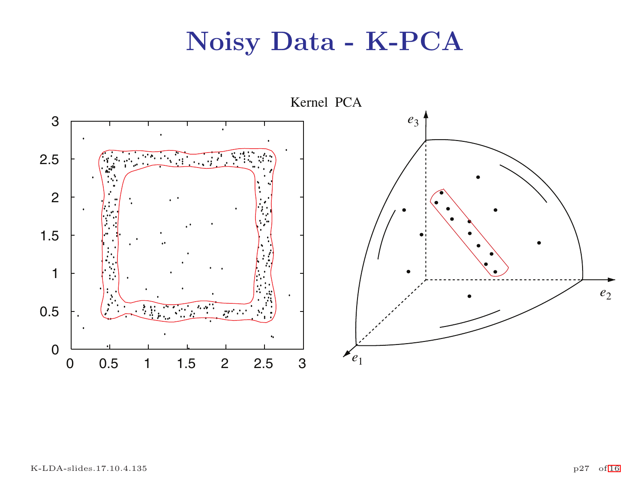# Noisy Data - K-PCA

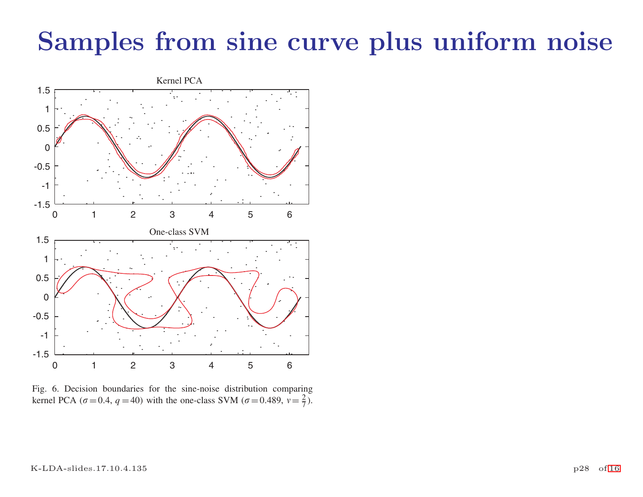# Samples from sine curve plus uniform noise



Fig. 6. Decision boundaries for the sine-noise distribution comparing kernel PCA ( $\sigma$  = 0.4,  $q$  = 40) with the one-class SVM ( $\sigma$  = 0.489,  $v = \frac{2}{7}$ ).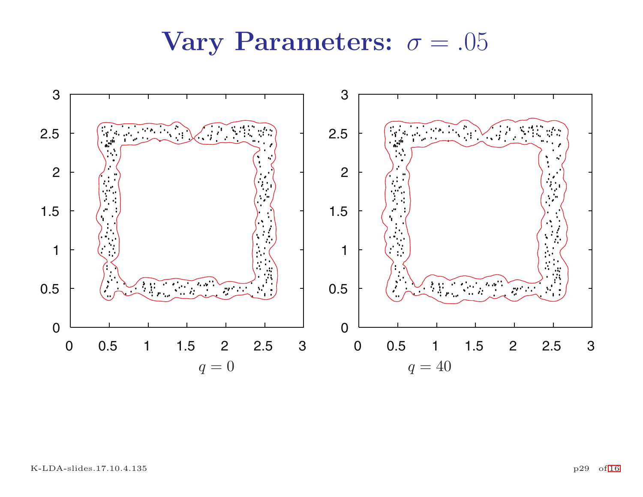## Vary Parameters:  $\sigma = .05$

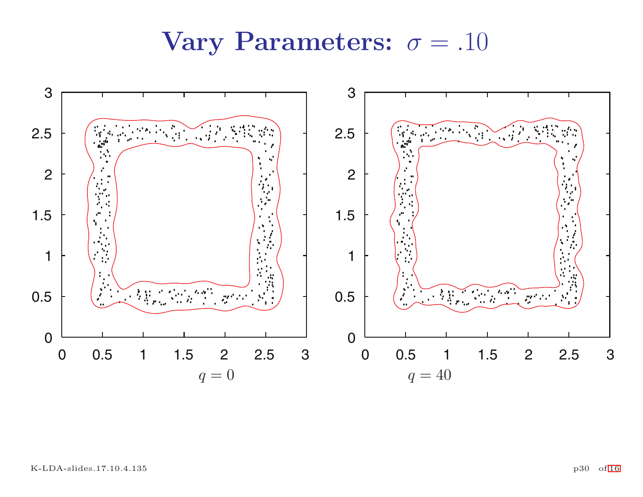## Vary Parameters:  $\sigma = .10$

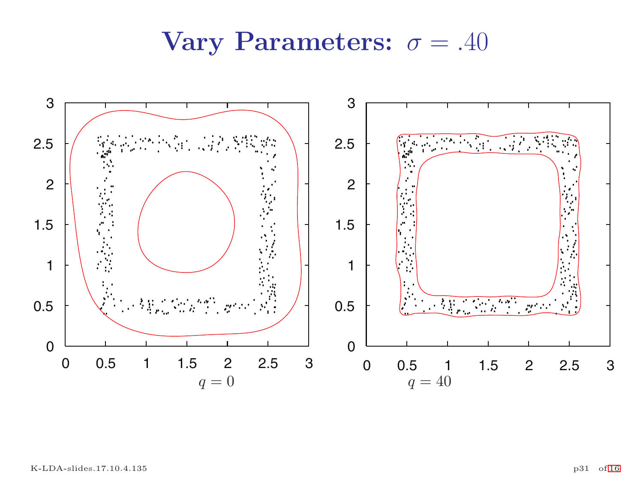## Vary Parameters:  $\sigma = .40$

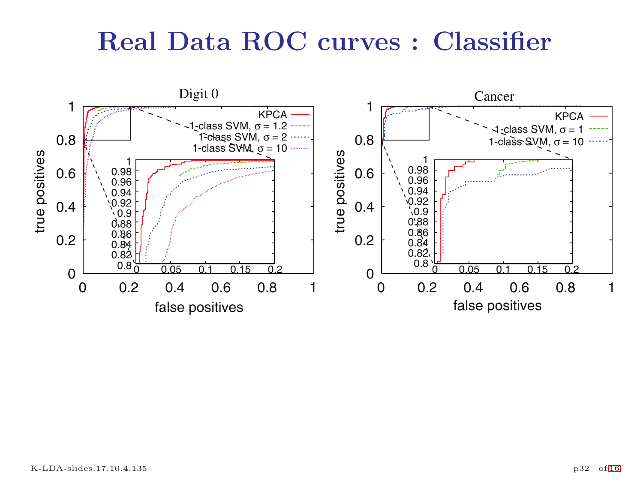## Real Data ROC curves : Classifier

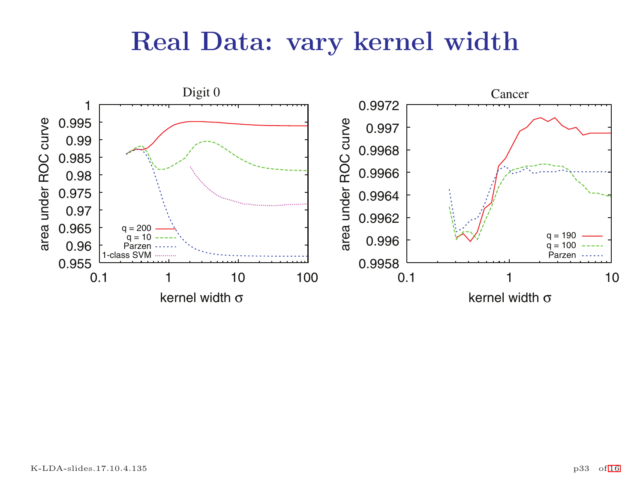## Real Data: vary kernel width

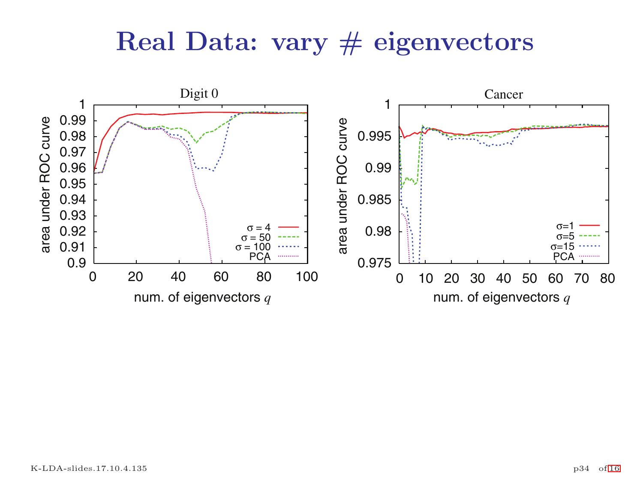## Real Data: vary  $#$  eigenvectors

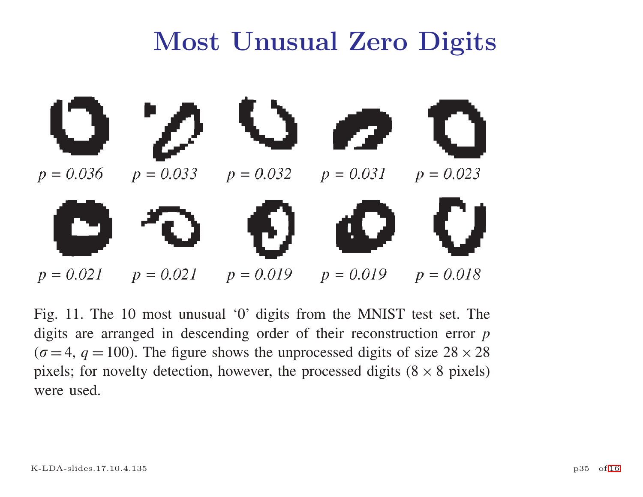# Most Unusual Zero Digits



Fig. 11. The 10 most unusual '0' digits from the MNIST test set. The digits are arranged in descending order of their reconstruction error *p* ( $\sigma$  = 4,  $q$  = 100). The figure shows the unprocessed digits of size 28  $\times$  28 pixels; for novelty detection, however, the processed digits  $(8 \times 8 \text{ pixels})$ were used.